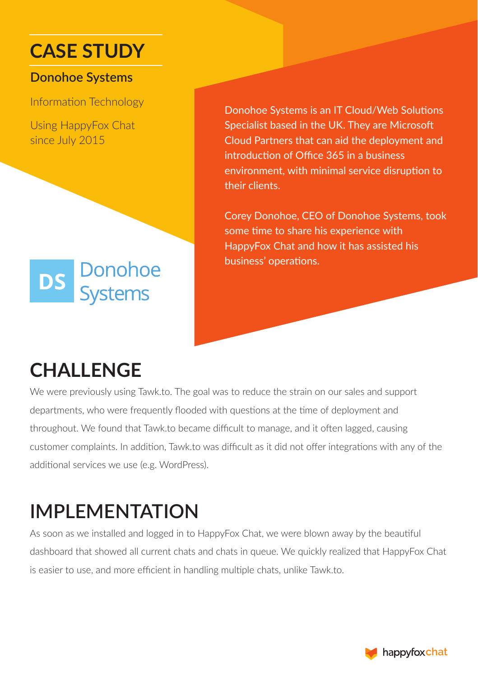### **CASE STUDY**

#### **Donohoe Systems**

Information Technology

Using HappyFox Chat since July 2015



Donohoe Systems is an IT Cloud/Web Solutions Specialist based in the UK. They are Microsoft Cloud Partners that can aid the deployment and introduction of Office 365 in a business environment, with minimal service disruption to their clients.

Corey Donohoe, CEO of Donohoe Systems, took some time to share his experience with HappyFox Chat and how it has assisted his business' operations.

## **CHALLENGE**

We were previously using Tawk.to. The goal was to reduce the strain on our sales and support departments, who were frequently flooded with questions at the time of deployment and throughout. We found that Tawk.to became difficult to manage, and it often lagged, causing customer complaints. In addition, Tawk.to was difficult as it did not offer integrations with any of the additional services we use (e.g. WordPress).

# **IMPLEMENTATION**

As soon as we installed and logged in to HappyFox Chat, we were blown away by the beautiful dashboard that showed all current chats and chats in queue. We quickly realized that HappyFox Chat is easier to use, and more efficient in handling multiple chats, unlike Tawk.to.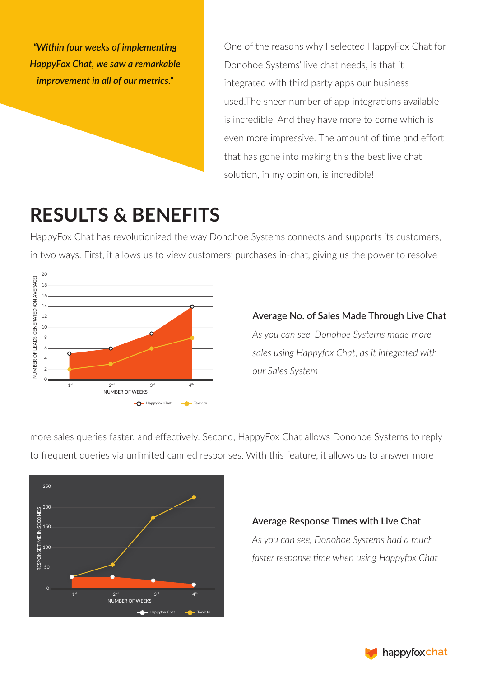*"Within four weeks of implementing HappyFox Chat, we saw a remarkable improvement in all of our metrics."*

One of the reasons why I selected HappyFox Chat for Donohoe Systems' live chat needs, is that it integrated with third party apps our business used.The sheer number of app integrations available is incredible. And they have more to come which is even more impressive. The amount of time and effort that has gone into making this the best live chat solution, in my opinion, is incredible!

## **RESULTS & BENEFITS**

HappyFox Chat has revolutionized the way Donohoe Systems connects and supports its customers, in two ways. First, it allows us to view customers' purchases in-chat, giving us the power to resolve



**Average No. of Sales Made Through Live Chat** *As you can see, Donohoe Systems made more sales using Happyfox Chat, as it integrated with our Sales System*

more sales queries faster, and effectively. Second, HappyFox Chat allows Donohoe Systems to reply to frequent queries via unlimited canned responses. With this feature, it allows us to answer more



#### **Average Response Times with Live Chat**

*As you can see, Donohoe Systems had a much faster response time when using Happyfox Chat*